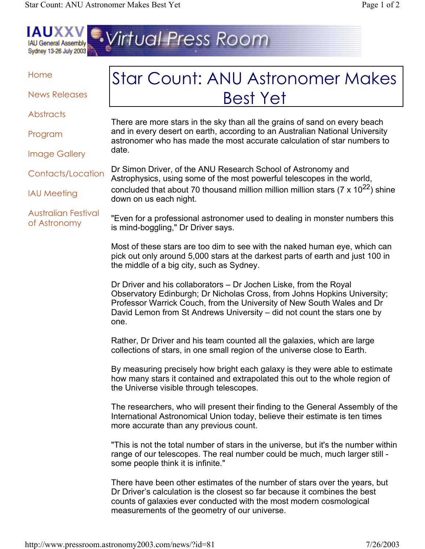

## Home

News Releases

**Abstracts** 

Program

There are more stars in the sky than all the grains of sand on every beach and in every desert on earth, according to an Australian National University astronomer who has made the most accurate calculation of star numbers to date.

[Star Count: ANU Astronomer Makes](http://www.pressroom.astronomy2003.com/news/?id=81)

Best Yet

Contacts/Location

IAU Meeting

Image Gallery

Australian Festival of Astronomy

Dr Simon Driver, of the ANU Research School of Astronomy and Astrophysics, using some of the most powerful telescopes in the world, concluded that about 70 thousand million million million stars  $(7 \times 10^{22})$  shine down on us each night.

"Even for a professional astronomer used to dealing in monster numbers this is mind-boggling," Dr Driver says.

Most of these stars are too dim to see with the naked human eye, which can pick out only around 5,000 stars at the darkest parts of earth and just 100 in the middle of a big city, such as Sydney.

Dr Driver and his collaborators – Dr Jochen Liske, from the Royal Observatory Edinburgh; Dr Nicholas Cross, from Johns Hopkins University; Professor Warrick Couch, from the University of New South Wales and Dr David Lemon from St Andrews University – did not count the stars one by one.

Rather, Dr Driver and his team counted all the galaxies, which are large collections of stars, in one small region of the universe close to Earth.

By measuring precisely how bright each galaxy is they were able to estimate how many stars it contained and extrapolated this out to the whole region of the Universe visible through telescopes.

The researchers, who will present their finding to the General Assembly of the International Astronomical Union today, believe their estimate is ten times more accurate than any previous count.

"This is not the total number of stars in the universe, but it's the number within range of our telescopes. The real number could be much, much larger still some people think it is infinite."

There have been other estimates of the number of stars over the years, but Dr Driver's calculation is the closest so far because it combines the best counts of galaxies ever conducted with the most modern cosmological measurements of the geometry of our universe.